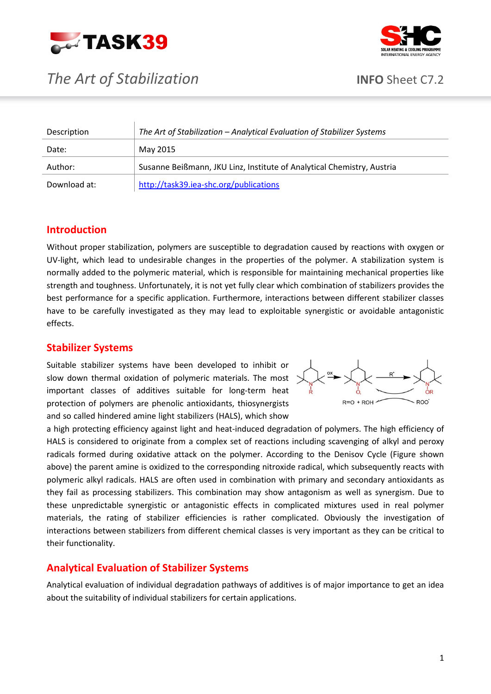





| Description  | The Art of Stabilization - Analytical Evaluation of Stabilizer Systems |
|--------------|------------------------------------------------------------------------|
| Date:        | May 2015                                                               |
| Author:      | Susanne Beißmann, JKU Linz, Institute of Analytical Chemistry, Austria |
| Download at: | http://task39.iea-shc.org/publications                                 |

# **Introduction**

Without proper stabilization, polymers are susceptible to degradation caused by reactions with oxygen or UV-light, which lead to undesirable changes in the properties of the polymer. A stabilization system is normally added to the polymeric material, which is responsible for maintaining mechanical properties like strength and toughness. Unfortunately, it is not yet fully clear which combination of stabilizers provides the best performance for a specific application. Furthermore, interactions between different stabilizer classes have to be carefully investigated as they may lead to exploitable synergistic or avoidable antagonistic effects.

# **Stabilizer Systems**

Suitable stabilizer systems have been developed to inhibit or slow down thermal oxidation of polymeric materials. The most important classes of additives suitable for long-term heat protection of polymers are phenolic antioxidants, thiosynergists and so called hindered amine light stabilizers (HALS), which show



a high protecting efficiency against light and heat-induced degradation of polymers. The high efficiency of HALS is considered to originate from a complex set of reactions including scavenging of alkyl and peroxy radicals formed during oxidative attack on the polymer. According to the Denisov Cycle (Figure shown above) the parent amine is oxidized to the corresponding nitroxide radical, which subsequently reacts with polymeric alkyl radicals. HALS are often used in combination with primary and secondary antioxidants as they fail as processing stabilizers. This combination may show antagonism as well as synergism. Due to these unpredictable synergistic or antagonistic effects in complicated mixtures used in real polymer materials, the rating of stabilizer efficiencies is rather complicated. Obviously the investigation of interactions between stabilizers from different chemical classes is very important as they can be critical to their functionality.

# **Analytical Evaluation of Stabilizer Systems**

Analytical evaluation of individual degradation pathways of additives is of major importance to get an idea about the suitability of individual stabilizers for certain applications.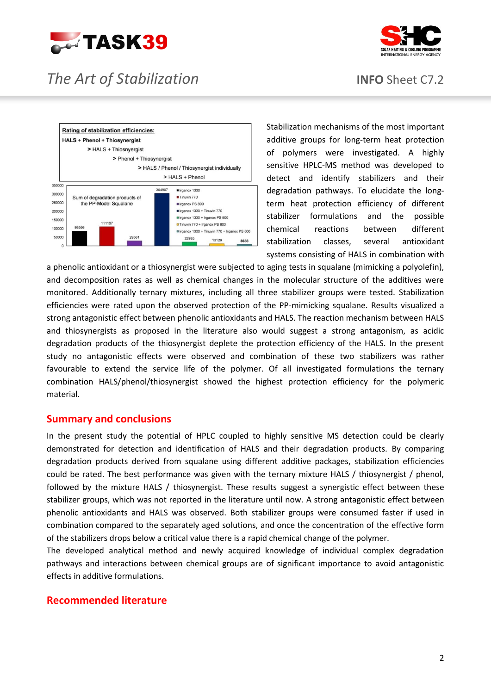



# *The Art of Stabilization* **INFO** Sheet C7.2



Stabilization mechanisms of the most important additive groups for long-term heat protection of polymers were investigated. A highly sensitive HPLC-MS method was developed to detect and identify stabilizers and their degradation pathways. To elucidate the longterm heat protection efficiency of different stabilizer formulations and the possible chemical reactions between different stabilization classes, several antioxidant systems consisting of HALS in combination with

a phenolic antioxidant or a thiosynergist were subjected to aging tests in squalane (mimicking a polyolefin), and decomposition rates as well as chemical changes in the molecular structure of the additives were monitored. Additionally ternary mixtures, including all three stabilizer groups were tested. Stabilization efficiencies were rated upon the observed protection of the PP-mimicking squalane. Results visualized a strong antagonistic effect between phenolic antioxidants and HALS. The reaction mechanism between HALS and thiosynergists as proposed in the literature also would suggest a strong antagonism, as acidic degradation products of the thiosynergist deplete the protection efficiency of the HALS. In the present study no antagonistic effects were observed and combination of these two stabilizers was rather favourable to extend the service life of the polymer. Of all investigated formulations the ternary combination HALS/phenol/thiosynergist showed the highest protection efficiency for the polymeric material.

# **Summary and conclusions**

In the present study the potential of HPLC coupled to highly sensitive MS detection could be clearly demonstrated for detection and identification of HALS and their degradation products. By comparing degradation products derived from squalane using different additive packages, stabilization efficiencies could be rated. The best performance was given with the ternary mixture HALS / thiosynergist / phenol, followed by the mixture HALS / thiosynergist. These results suggest a synergistic effect between these stabilizer groups, which was not reported in the literature until now. A strong antagonistic effect between phenolic antioxidants and HALS was observed. Both stabilizer groups were consumed faster if used in combination compared to the separately aged solutions, and once the concentration of the effective form of the stabilizers drops below a critical value there is a rapid chemical change of the polymer.

The developed analytical method and newly acquired knowledge of individual complex degradation pathways and interactions between chemical groups are of significant importance to avoid antagonistic effects in additive formulations.

# **Recommended literature**